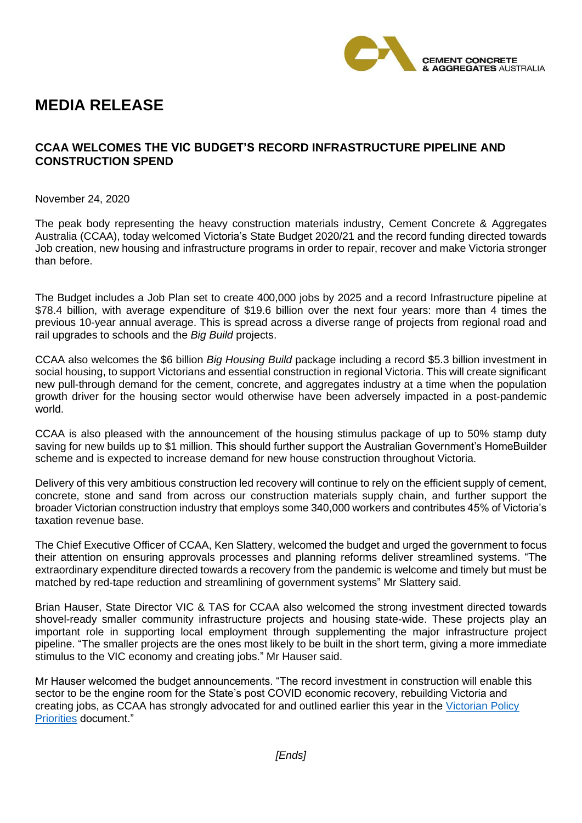

## **MEDIA RELEASE**

## **CCAA WELCOMES THE VIC BUDGET'S RECORD INFRASTRUCTURE PIPELINE AND CONSTRUCTION SPEND**

November 24, 2020

The peak body representing the heavy construction materials industry, Cement Concrete & Aggregates Australia (CCAA), today welcomed Victoria's State Budget 2020/21 and the record funding directed towards Job creation, new housing and infrastructure programs in order to repair, recover and make Victoria stronger than before.

The Budget includes a Job Plan set to create 400,000 jobs by 2025 and a record Infrastructure pipeline at \$78.4 billion, with average expenditure of \$19.6 billion over the next four years: more than 4 times the previous 10-year annual average. This is spread across a diverse range of projects from regional road and rail upgrades to schools and the *Big Build* projects.

CCAA also welcomes the \$6 billion *Big Housing Build* package including a record \$5.3 billion investment in social housing, to support Victorians and essential construction in regional Victoria. This will create significant new pull-through demand for the cement, concrete, and aggregates industry at a time when the population growth driver for the housing sector would otherwise have been adversely impacted in a post-pandemic world.

CCAA is also pleased with the announcement of the housing stimulus package of up to 50% stamp duty saving for new builds up to \$1 million. This should further support the Australian Government's HomeBuilder scheme and is expected to increase demand for new house construction throughout Victoria.

Delivery of this very ambitious construction led recovery will continue to rely on the efficient supply of cement, concrete, stone and sand from across our construction materials supply chain, and further support the broader Victorian construction industry that employs some 340,000 workers and contributes 45% of Victoria's taxation revenue base.

The Chief Executive Officer of CCAA, Ken Slattery, welcomed the budget and urged the government to focus their attention on ensuring approvals processes and planning reforms deliver streamlined systems. "The extraordinary expenditure directed towards a recovery from the pandemic is welcome and timely but must be matched by red-tape reduction and streamlining of government systems" Mr Slattery said.

Brian Hauser, State Director VIC & TAS for CCAA also welcomed the strong investment directed towards shovel-ready smaller community infrastructure projects and housing state-wide. These projects play an important role in supporting local employment through supplementing the major infrastructure project pipeline. "The smaller projects are the ones most likely to be built in the short term, giving a more immediate stimulus to the VIC economy and creating jobs." Mr Hauser said.

Mr Hauser welcomed the budget announcements. "The record investment in construction will enable this sector to be the engine room for the State's post COVID economic recovery, rebuilding Victoria and creating jobs, as CCAA has strongly advocated for and outlined earlier this year in the [Victorian Policy](https://www.ccaa.com.au/imis_prod/documents/1991_Vic_Policy%20Priorities_web_R4.pdf)  [Priorities](https://www.ccaa.com.au/imis_prod/documents/1991_Vic_Policy%20Priorities_web_R4.pdf) document."